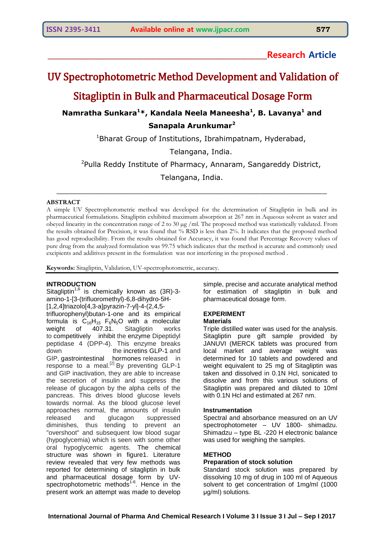## **\_\_\_\_\_\_\_\_\_\_\_\_\_\_\_\_\_\_\_\_\_\_\_\_\_\_\_\_\_\_\_\_\_\_\_\_\_\_\_\_\_\_\_\_\_\_\_\_\_\_\_\_\_\_\_\_\_Research Article**

# UV Spectrophotometric Method Development and Validation of

Sitagliptin in Bulk and Pharmaceutical Dosage Form

## **Namratha Sunkara<sup>1</sup>\*, Kandala Neela Maneesha<sup>1</sup> , B. Lavanya<sup>1</sup> and Sanapala Arunkumar<sup>2</sup>**

 $1$ Bharat Group of Institutions, Ibrahimpatnam, Hyderabad,

Telangana, India.

<sup>2</sup>Pulla Reddy Institute of Pharmacy, Annaram, Sangareddy District,

Telangana, India.

\_\_\_\_\_\_\_\_\_\_\_\_\_\_\_\_\_\_\_\_\_\_\_\_\_\_\_\_\_\_\_\_\_\_\_\_\_\_\_\_\_\_\_\_\_\_\_\_\_\_\_\_\_\_\_\_\_\_\_\_

### **ABSTRACT**

A simple UV Spectrophotometric method was developed for the determination of Sitagliptin in bulk and its pharmaceutical formulations. Sitagliptin exhibited maximum absorption at 267 nm in Aqueous solvent as water and obeyed linearity in the concentration range of 2 to 30 µg /ml. The proposed method was statistically validated. From the results obtained for Precision, it was found that % RSD is less than 2%. It indicates that the proposed method has good reproducibility. From the results obtained for Accuracy, it was found that Percentage Recovery values of pure drug from the analyzed formulation was 99.75 which indicates that the method is accurate and commonly used excipients and additives present in the formulation was not interfering in the proposed method .

**Keywords:** Sitagliptin, Validation, UV-spectrophotometric, accuracy.

## **INTRODUCTION**

Sitagliptin<sup>1,6</sup> is chemically known as  $(3R)$ -3amino-1-[3-(trifluoromethyl)-6,8-dihydro-5H- [1,2,4]triazolo[4,3-a]pyrazin-7-yl]-4-(2,4,5 trifluorophenyl)butan-1-one and its empirical formula is  $C_{16}H_{15}$  F<sub>6</sub>N<sub>5</sub>O with a molecular weight of 407.31. Sitagliptin works to competitively inhibit the enzyme Dipeptidyl peptidase 4 (DPP-4). This enzyme breaks down the incretins [GLP-1](https://en.wikipedia.org/wiki/GLP-1) and GIP, gastrointestinal hormones released in response to a meal. $^{[2]}$  By preventing GLP-1 and GIP inactivation, they are able to increase the secretion of insulin and suppress the release of glucagon by the alpha cells of the pancreas. This drives blood glucose levels towards normal. As the blood glucose level approaches normal, the amounts of insulin released and glucagon suppressed diminishes, thus tending to prevent an "overshoot" and subsequent low blood sugar (hypoglycemia) which is seen with some other oral hypoglycemic agents. The chemical structure was shown in figure1. Literature review revealed that very few methods was reported for determining of sitagliptin in bulk and pharmaceutical dosage form by UVspectrophotometric methods<sup>1-6</sup>. Hence in the present work an attempt was made to develop

simple, precise and accurate analytical method for estimation of sitagliptin in bulk and pharmaceutical dosage form.

## **EXPERIMENT**

## **Materials**

Triple distilled water was used for the analysis. Sitagliptin pure gift sample provided by JANUVI (MERCK tablets was procured from local market and average weight was determined for 10 tablets and powdered and weight equivalent to 25 mg of Sitagliptin was taken and dissolved in 0.1N Hcl, sonicated to dissolve and from this various solutions of Sitagliptin was prepared and diluted to 10ml with 0.1N Hcl and estimated at 267 nm.

### **Instrumentation**

Spectral and absorbance measured on an UV spectrophotometer – UV 1800- shimadzu. Shimadzu – type BL -220 H electronic balance was used for weighing the samples.

## **METHOD**

## **Preparation of stock solution**

Standard stock solution was prepared by dissolving 10 mg of drug in 100 ml of Aqueous solvent to get concentration of 1mg/ml (1000 μg/ml) solutions.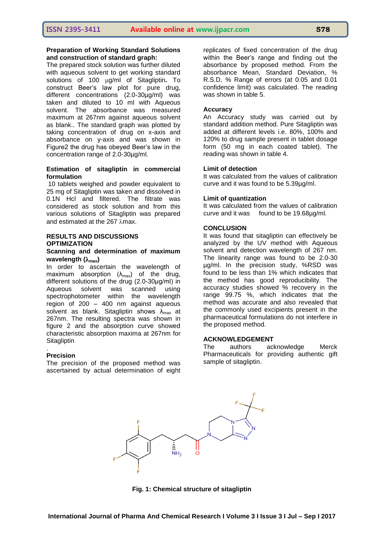## **Preparation of Working Standard Solutions and construction of standard graph:**

The prepared stock solution was further diluted with aqueous solvent to get working standard solutions of 100 µg/ml of Sitagliptin. To construct Beer's law plot for pure drug, different concentrations (2.0-30µg/ml) was taken and diluted to 10 ml with Aqueous solvent. The absorbance was measured maximum at 267nm against aqueous solvent as blank.. The standard graph was plotted by taking concentration of drug on x-axis and absorbance on y-axis and was shown in Figure2 the drug has obeyed Beer's law in the concentration range of 2.0-30µg/ml.

### **Estimation of sitagliptin in commercial formulation**

10 tablets weighed and powder equivalent to 25 mg of Sitagliptin was taken and dissolved in 0.1N Hcl and filtered. The filtrate was considered as stock solution and from this various solutions of Sitagliptin was prepared and estimated at the 267  $\lambda$ max.

## **RESULTS AND DISCUSSIONS OPTIMIZATION**

## **Scanning and determination of maximum wavelength (max)**

In order to ascertain the wavelength of maximum absorption  $(\lambda_{\text{max}})$  of the drug, different solutions of the drug (2.0-30μg/ml) in Aqueous solvent was scanned using spectrophotometer within the wavelength region of 200 – 400 nm against aqueous solvent as blank. Sitagliptin shows  $\lambda_{\text{max}}$  at 267nm. The resulting spectra was shown in figure 2 and the absorption curve showed characteristic absorption maxima at 267nm for **Sitagliptin** 

### **Precision**

.

The precision of the proposed method was ascertained by actual determination of eight replicates of fixed concentration of the drug within the Beer's range and finding out the absorbance by proposed method. From the absorbance Mean, Standard Deviation, % R.S.D, % Range of errors (at 0.05 and 0.01 confidence limit) was calculated. The reading was shown in table 5.

#### **Accuracy**

An Accuracy study was carried out by standard addition method. Pure Sitagliptin was added at different levels i.e. 80%, 100% and 120% to drug sample present in tablet dosage form (50 mg in each coated tablet). The reading was shown in table 4.

#### **Limit of detection**

It was calculated from the values of calibration curve and it was found to be 5.39µg/ml.

#### **Limit of quantization**

It was calculated from the values of calibration curve and it was found to be 19.68µg/ml.

#### **CONCLUSION**

It was found that sitagliptin can effectively be analyzed by the UV method with Aqueous solvent and detection wavelength of 267 nm. The linearity range was found to be 2.0-30 µg/ml. In the precision study, %RSD was found to be less than 1% which indicates that the method has good reproducibility. The accuracy studies showed % recovery in the range 99.75 %, which indicates that the method was accurate and also revealed that the commonly used excipients present in the pharmaceutical formulations do not interfere in the proposed method.

#### **ACKNOWLEDGEMENT**

The authors acknowledge Merck Pharmaceuticals for providing authentic gift sample of sitagliptin.



**Fig. 1: Chemical structure of sitagliptin**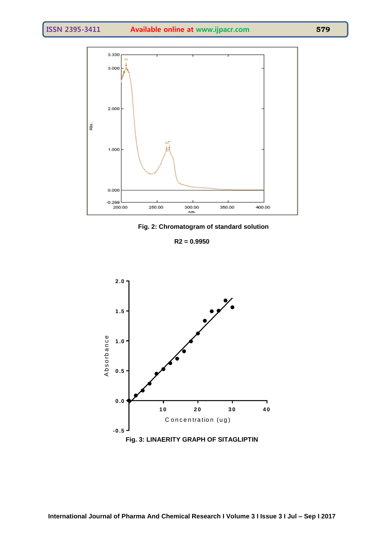

**Fig. 2: Chromatogram of standard solution**

**R2 = 0.9950**